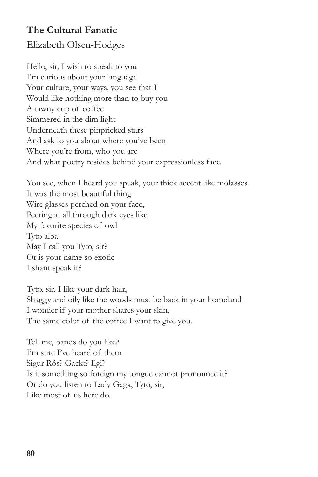## **The Cultural Fanatic**

Elizabeth Olsen-Hodges

Hello, sir, I wish to speak to you I'm curious about your language Your culture, your ways, you see that I Would like nothing more than to buy you A tawny cup of coffee Simmered in the dim light Underneath these pinpricked stars And ask to you about where you've been Where you're from, who you are And what poetry resides behind your expressionless face.

You see, when I heard you speak, your thick accent like molasses It was the most beautiful thing Wire glasses perched on your face, Peering at all through dark eyes like My favorite species of owl Tyto alba May I call you Tyto, sir? Or is your name so exotic I shant speak it?

Tyto, sir, I like your dark hair, Shaggy and oily like the woods must be back in your homeland I wonder if your mother shares your skin, The same color of the coffee I want to give you.

Tell me, bands do you like? I'm sure I've heard of them Sigur Rós? Gackt? Ilgi? Is it something so foreign my tongue cannot pronounce it? Or do you listen to Lady Gaga, Tyto, sir, Like most of us here do.